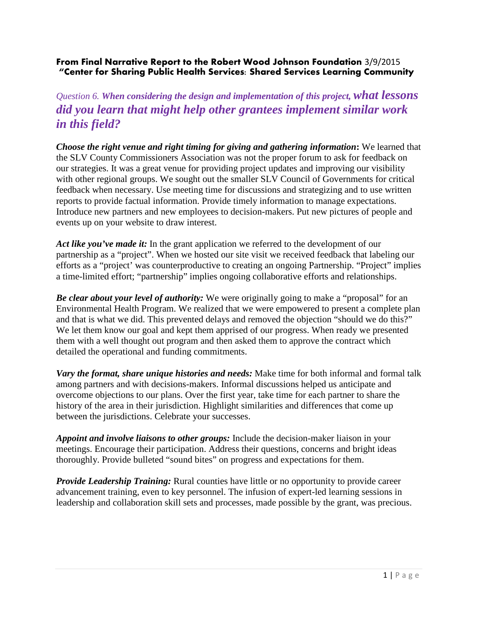## **From Final Narrative Report to the Robert Wood Johnson Foundation** 3/9/2015 **"Center for Sharing Public Health Services: Shared Services Learning Community**

*Question 6. When considering the design and implementation of this project, what lessons did you learn that might help other grantees implement similar work in this field?*

*Choose the right venue and right timing for giving and gathering information***:** We learned that the SLV County Commissioners Association was not the proper forum to ask for feedback on our strategies. It was a great venue for providing project updates and improving our visibility with other regional groups. We sought out the smaller SLV Council of Governments for critical feedback when necessary. Use meeting time for discussions and strategizing and to use written reports to provide factual information. Provide timely information to manage expectations. Introduce new partners and new employees to decision-makers. Put new pictures of people and events up on your website to draw interest.

*Act like you've made it:* In the grant application we referred to the development of our partnership as a "project". When we hosted our site visit we received feedback that labeling our efforts as a "project' was counterproductive to creating an ongoing Partnership. "Project" implies a time-limited effort; "partnership" implies ongoing collaborative efforts and relationships.

*Be clear about your level of authority:* We were originally going to make a "proposal" for an Environmental Health Program. We realized that we were empowered to present a complete plan and that is what we did. This prevented delays and removed the objection "should we do this?" We let them know our goal and kept them apprised of our progress. When ready we presented them with a well thought out program and then asked them to approve the contract which detailed the operational and funding commitments.

*Vary the format, share unique histories and needs:* Make time for both informal and formal talk among partners and with decisions-makers. Informal discussions helped us anticipate and overcome objections to our plans. Over the first year, take time for each partner to share the history of the area in their jurisdiction. Highlight similarities and differences that come up between the jurisdictions. Celebrate your successes.

*Appoint and involve liaisons to other groups:* Include the decision-maker liaison in your meetings. Encourage their participation. Address their questions, concerns and bright ideas thoroughly. Provide bulleted "sound bites" on progress and expectations for them.

*Provide Leadership Training:* Rural counties have little or no opportunity to provide career advancement training, even to key personnel. The infusion of expert-led learning sessions in leadership and collaboration skill sets and processes, made possible by the grant, was precious.